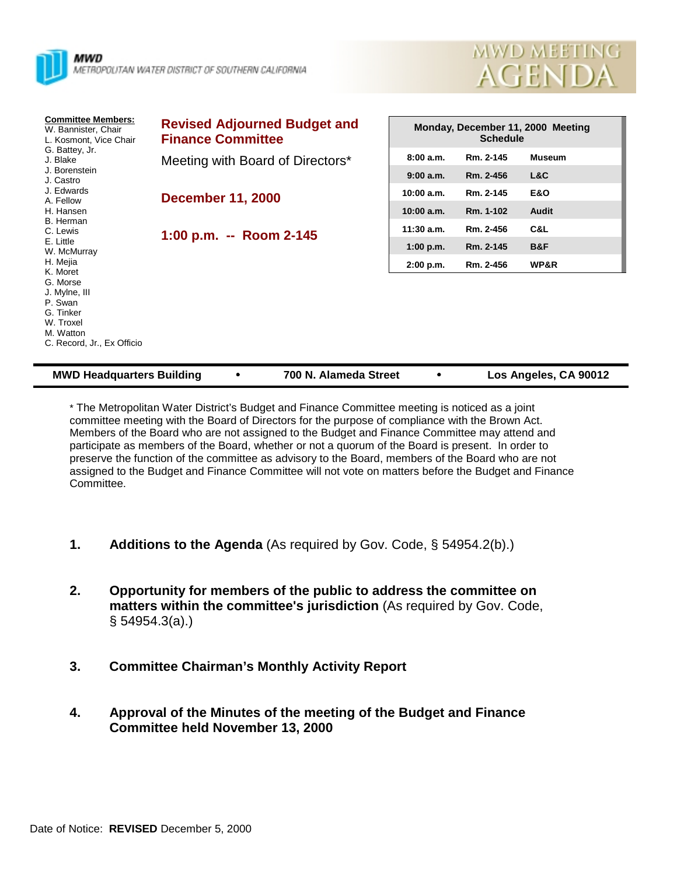



| <b>Committee Members:</b><br>W. Bannister, Chair<br>L. Kosmont, Vice Chair<br>G. Battey, Jr.<br>J. Blake<br>J. Borenstein<br>J. Castro<br>J. Edwards<br>A. Fellow | <b>Revised Adjourned Budget and</b><br><b>Finance Committee</b> | Monday, December 11, 2000 Meeting<br><b>Schedule</b> |                        |                      |  |
|-------------------------------------------------------------------------------------------------------------------------------------------------------------------|-----------------------------------------------------------------|------------------------------------------------------|------------------------|----------------------|--|
|                                                                                                                                                                   | Meeting with Board of Directors*                                | 8:00a.m.<br>9:00a.m.                                 | Rm. 2-145<br>Rm. 2-456 | <b>Museum</b><br>L&C |  |
|                                                                                                                                                                   | <b>December 11, 2000</b>                                        | 10:00 a.m.                                           | Rm. 2-145              | <b>E&amp;O</b>       |  |
| H. Hansen<br>B. Herman<br>C. Lewis                                                                                                                                | 1:00 p.m. -- Room 2-145                                         | 10:00 a.m.<br>$11:30$ a.m.                           | Rm. 1-102<br>Rm. 2-456 | <b>Audit</b><br>C&L  |  |
| E. Little<br>W. McMurray<br>H. Mejia                                                                                                                              |                                                                 | 1:00 p.m.<br>2:00 p.m.                               | Rm. 2-145<br>Rm. 2-456 | B&F<br>WP&R          |  |
| K. Moret<br>G. Morse<br>J. Mylne, III<br>P. Swan<br>G. Tinker<br>W. Troxel<br>M. Watton<br>C. Record, Jr., Ex Officio                                             |                                                                 |                                                      |                        |                      |  |

| <b>MWD Headquarters Building</b> |  | 700 N. Alameda Street |  | Los Angeles, CA 90012 |
|----------------------------------|--|-----------------------|--|-----------------------|
|----------------------------------|--|-----------------------|--|-----------------------|

\* The Metropolitan Water District's Budget and Finance Committee meeting is noticed as a joint committee meeting with the Board of Directors for the purpose of compliance with the Brown Act. Members of the Board who are not assigned to the Budget and Finance Committee may attend and participate as members of the Board, whether or not a quorum of the Board is present. In order to preserve the function of the committee as advisory to the Board, members of the Board who are not assigned to the Budget and Finance Committee will not vote on matters before the Budget and Finance Committee.

- **1. Additions to the Agenda** (As required by Gov. Code, § 54954.2(b).)
- **2. Opportunity for members of the public to address the committee on matters within the committee's jurisdiction** (As required by Gov. Code, § 54954.3(a).)
- **3. Committee Chairman's Monthly Activity Report**
- **4. Approval of the Minutes of the meeting of the Budget and Finance Committee held November 13, 2000**